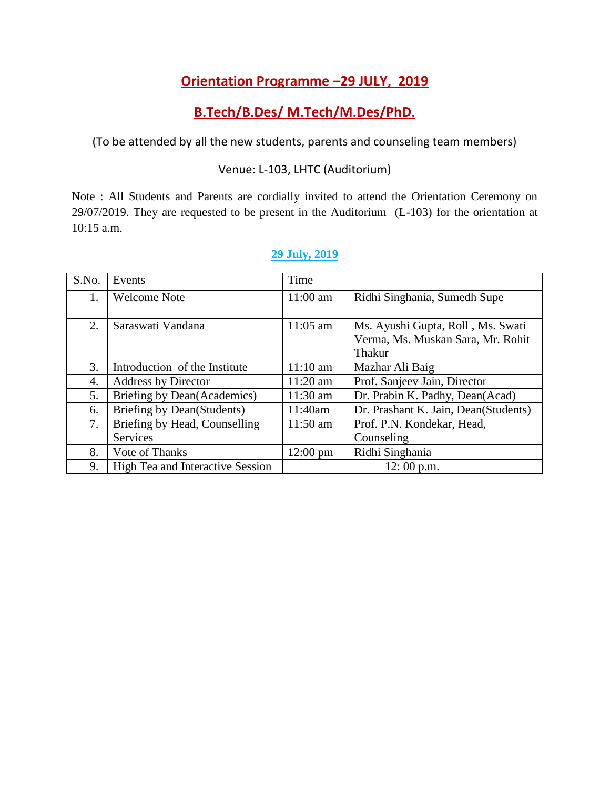## **Orientation Programme –29 JULY, 2019**

## **B.Tech/B.Des/ M.Tech/M.Des/PhD.**

(To be attended by all the new students, parents and counseling team members)

### Venue: L-103, LHTC (Auditorium)

Note : All Students and Parents are cordially invited to attend the Orientation Ceremony on 29/07/2019. They are requested to be present in the Auditorium (L-103) for the orientation at 10:15 a.m.

| S.No. | Events                                  | Time               |                                                                                         |
|-------|-----------------------------------------|--------------------|-----------------------------------------------------------------------------------------|
| 1.    | <b>Welcome Note</b>                     | $11:00$ am         | Ridhi Singhania, Sumedh Supe                                                            |
| 2.    | Saraswati Vandana                       | $11:05$ am         | Ms. Ayushi Gupta, Roll, Ms. Swati<br>Verma, Ms. Muskan Sara, Mr. Rohit<br><b>Thakur</b> |
| 3.    | Introduction of the Institute           | $11:10$ am         | Mazhar Ali Baig                                                                         |
| 4.    | Address by Director                     | $11:20$ am         | Prof. Sanjeev Jain, Director                                                            |
| 5.    | Briefing by Dean(Academics)             | $11:30$ am         | Dr. Prabin K. Padhy, Dean(Acad)                                                         |
| 6.    | Briefing by Dean(Students)              | 11:40am            | Dr. Prashant K. Jain, Dean(Students)                                                    |
| 7.    | Briefing by Head, Counselling           | 11:50 am           | Prof. P.N. Kondekar, Head,                                                              |
|       | Services                                |                    | Counseling                                                                              |
| 8.    | Vote of Thanks                          | $12:00 \text{ pm}$ | Ridhi Singhania                                                                         |
| 9.    | <b>High Tea and Interactive Session</b> |                    | 12:00 p.m.                                                                              |

## **29 July, 2019**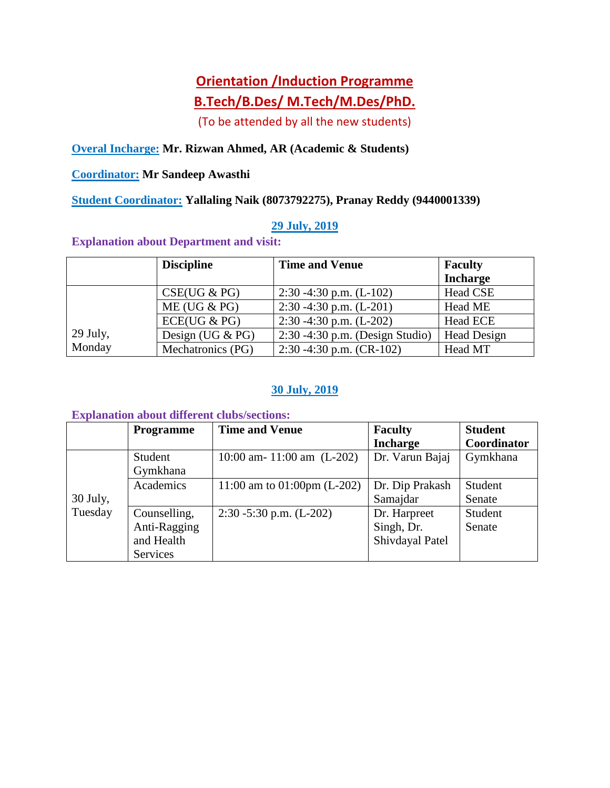# **Orientation /Induction Programme B.Tech/B.Des/ M.Tech/M.Des/PhD.**

(To be attended by all the new students)

## **Overal Incharge: Mr. Rizwan Ahmed, AR (Academic & Students)**

### **Coordinator: Mr Sandeep Awasthi**

**Student Coordinator: Yallaling Naik (8073792275), Pranay Reddy (9440001339)**

### **29 July, 2019**

#### **Explanation about Department and visit:**

|          | <b>Discipline</b>   | <b>Time and Venue</b>              | <b>Faculty</b>     |
|----------|---------------------|------------------------------------|--------------------|
|          |                     |                                    | <b>Incharge</b>    |
|          | CSE(UG & PG)        | 2:30 -4:30 p.m. $(L-102)$          | Head CSE           |
|          | ME (UG & PG)        | 2:30 -4:30 p.m. $(L-201)$          | Head ME            |
|          | ECE(UG & PG)        | 2:30 -4:30 p.m. $(L-202)$          | Head ECE           |
| 29 July, | Design (UG $& PG$ ) | $2:30 - 4:30$ p.m. (Design Studio) | <b>Head Design</b> |
| Monday   | Mechatronics (PG)   | 2:30 -4:30 p.m. $(CR-102)$         | Head MT            |

### **30 July, 2019**

#### **Explanation about different clubs/sections:**

|            | <b>Programme</b> | <b>Time and Venue</b>                 | <b>Faculty</b>  | <b>Student</b> |
|------------|------------------|---------------------------------------|-----------------|----------------|
|            |                  |                                       | <b>Incharge</b> | Coordinator    |
|            | Student          | 10:00 am- 11:00 am $(L-202)$          | Dr. Varun Bajaj | Gymkhana       |
|            | Gymkhana         |                                       |                 |                |
|            | Academics        | 11:00 am to $01:00 \text{pm}$ (L-202) | Dr. Dip Prakash | Student        |
| $30$ July, |                  |                                       | Samajdar        | Senate         |
| Tuesday    | Counselling,     | $2:30 - 5:30$ p.m. (L-202)            | Dr. Harpreet    | Student        |
|            | Anti-Ragging     |                                       | Singh, Dr.      | Senate         |
|            | and Health       |                                       | Shivdayal Patel |                |
|            | Services         |                                       |                 |                |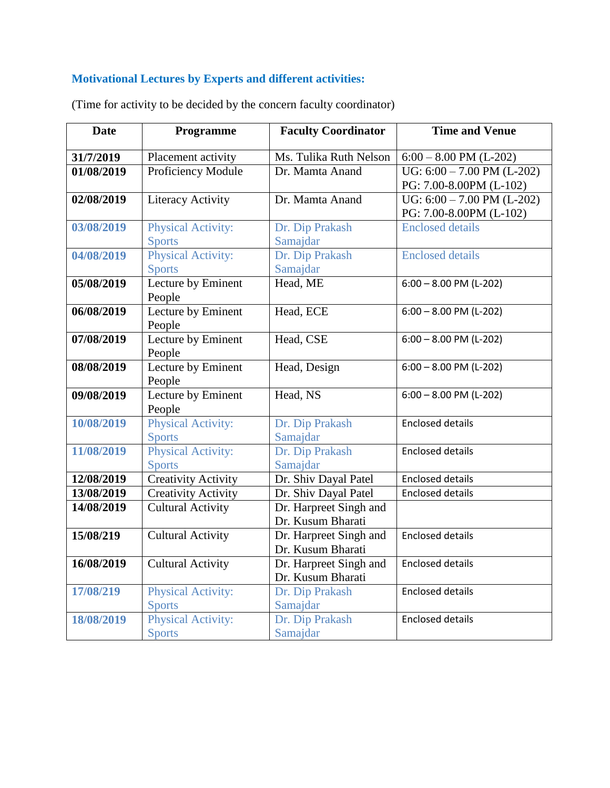## **Motivational Lectures by Experts and different activities:**

| <b>Date</b> | Programme                    | <b>Faculty Coordinator</b> | <b>Time and Venue</b>        |
|-------------|------------------------------|----------------------------|------------------------------|
| 31/7/2019   | Placement activity           | Ms. Tulika Ruth Nelson     | $6:00 - 8.00$ PM (L-202)     |
| 01/08/2019  | Proficiency Module           | Dr. Mamta Anand            | UG: $6:00 - 7.00$ PM (L-202) |
|             |                              |                            | PG: 7.00-8.00PM (L-102)      |
| 02/08/2019  | <b>Literacy Activity</b>     | Dr. Mamta Anand            | UG: $6:00 - 7.00$ PM (L-202) |
|             |                              |                            | PG: 7.00-8.00PM (L-102)      |
| 03/08/2019  | <b>Physical Activity:</b>    | Dr. Dip Prakash            | <b>Enclosed details</b>      |
|             | <b>Sports</b>                | Samajdar                   |                              |
| 04/08/2019  | <b>Physical Activity:</b>    | Dr. Dip Prakash            | <b>Enclosed</b> details      |
|             | <b>Sports</b>                | Samajdar                   |                              |
| 05/08/2019  | Lecture by Eminent<br>People | Head, ME                   | $6:00 - 8.00$ PM (L-202)     |
| 06/08/2019  | Lecture by Eminent           | Head, ECE                  | $6:00 - 8.00$ PM (L-202)     |
|             | People                       |                            |                              |
| 07/08/2019  | Lecture by Eminent           | Head, CSE                  | $6:00 - 8.00$ PM (L-202)     |
|             | People                       |                            |                              |
| 08/08/2019  | Lecture by Eminent           | Head, Design               | $6:00 - 8.00$ PM (L-202)     |
|             | People                       |                            |                              |
| 09/08/2019  | Lecture by Eminent           | Head, NS                   | $6:00 - 8.00$ PM (L-202)     |
|             | People                       |                            |                              |
| 10/08/2019  | <b>Physical Activity:</b>    | Dr. Dip Prakash            | <b>Enclosed details</b>      |
|             | <b>Sports</b>                | Samajdar                   |                              |
| 11/08/2019  | <b>Physical Activity:</b>    | Dr. Dip Prakash            | <b>Enclosed details</b>      |
|             | <b>Sports</b>                | Samajdar                   |                              |
| 12/08/2019  | <b>Creativity Activity</b>   | Dr. Shiv Dayal Patel       | <b>Enclosed details</b>      |
| 13/08/2019  | <b>Creativity Activity</b>   | Dr. Shiv Dayal Patel       | <b>Enclosed details</b>      |
| 14/08/2019  | <b>Cultural Activity</b>     | Dr. Harpreet Singh and     |                              |
|             |                              | Dr. Kusum Bharati          |                              |
| 15/08/219   | <b>Cultural Activity</b>     | Dr. Harpreet Singh and     | <b>Enclosed details</b>      |
|             |                              | Dr. Kusum Bharati          |                              |
| 16/08/2019  | <b>Cultural Activity</b>     | Dr. Harpreet Singh and     | <b>Enclosed details</b>      |
|             |                              | Dr. Kusum Bharati          |                              |
| 17/08/219   | <b>Physical Activity:</b>    | Dr. Dip Prakash            | <b>Enclosed details</b>      |
|             | <b>Sports</b>                | Samajdar                   |                              |
| 18/08/2019  | <b>Physical Activity:</b>    | Dr. Dip Prakash            | <b>Enclosed details</b>      |
|             | <b>Sports</b>                | Samajdar                   |                              |

(Time for activity to be decided by the concern faculty coordinator)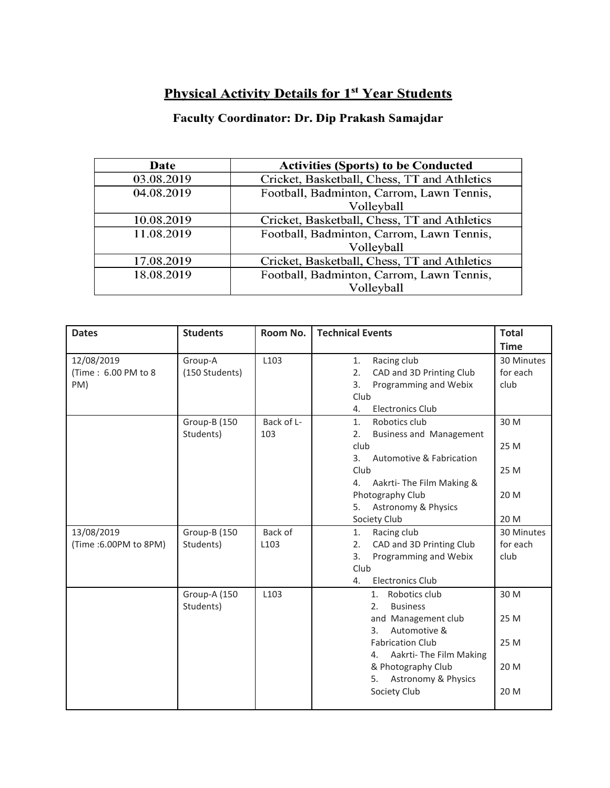# **Physical Activity Details for 1st Year Students**

## Faculty Coordinator: Dr. Dip Prakash Samajdar

| Date       | <b>Activities (Sports) to be Conducted</b>   |  |  |
|------------|----------------------------------------------|--|--|
| 03.08.2019 | Cricket, Basketball, Chess, TT and Athletics |  |  |
| 04.08.2019 | Football, Badminton, Carrom, Lawn Tennis,    |  |  |
|            | Volleyball                                   |  |  |
| 10.08.2019 | Cricket, Basketball, Chess, TT and Athletics |  |  |
| 11.08.2019 | Football, Badminton, Carrom, Lawn Tennis,    |  |  |
|            | Volleyball                                   |  |  |
| 17.08.2019 | Cricket, Basketball, Chess, TT and Athletics |  |  |
| 18.08.2019 | Football, Badminton, Carrom, Lawn Tennis,    |  |  |
|            | Volleyball                                   |  |  |

| <b>Dates</b>                             | <b>Students</b>                  | Room No.          | <b>Technical Events</b>                                       | <b>Total</b>                   |
|------------------------------------------|----------------------------------|-------------------|---------------------------------------------------------------|--------------------------------|
|                                          |                                  |                   |                                                               | <b>Time</b>                    |
| 12/08/2019<br>(Time: 6.00 PM to 8<br>PM) | Group-A<br>(150 Students)        | L103              | Racing club<br>1.<br>2.<br>CAD and 3D Printing Club<br>3.     | 30 Minutes<br>for each<br>club |
|                                          |                                  |                   | Programming and Webix<br>Club<br>Electronics Club<br>4.       |                                |
|                                          | <b>Group-B (150</b><br>Students) | Back of L-<br>103 | Robotics club<br>1.<br><b>Business and Management</b><br>2.   | 30 M                           |
|                                          |                                  |                   | club<br>Automotive & Fabrication<br>3.                        | 25 M                           |
|                                          |                                  |                   | Club<br>Aakrti- The Film Making &<br>4.                       | 25 M                           |
|                                          |                                  |                   | Photography Club<br>Astronomy & Physics<br>5.                 | 20 M                           |
|                                          |                                  |                   | Society Club                                                  | 20 M                           |
| 13/08/2019                               | <b>Group-B (150</b>              | Back of           | Racing club<br>1.                                             | 30 Minutes                     |
| (Time: 6.00PM to 8PM)                    | Students)                        | L <sub>103</sub>  | CAD and 3D Printing Club<br>2.<br>Programming and Webix<br>3. | for each<br>club               |
|                                          |                                  |                   | Club                                                          |                                |
|                                          |                                  |                   | <b>Electronics Club</b><br>4.                                 |                                |
|                                          | Group-A (150<br>Students)        | L103              | Robotics club<br>1.<br>2 <sub>1</sub><br><b>Business</b>      | 30 M                           |
|                                          |                                  |                   | and Management club<br>Automotive &<br>3.                     | 25 M                           |
|                                          |                                  |                   | <b>Fabrication Club</b><br>Aakrti-The Film Making<br>4.       | 25 M                           |
|                                          |                                  |                   | & Photography Club<br>Astronomy & Physics<br>5.               | 20 M                           |
|                                          |                                  |                   | Society Club                                                  | 20 M                           |